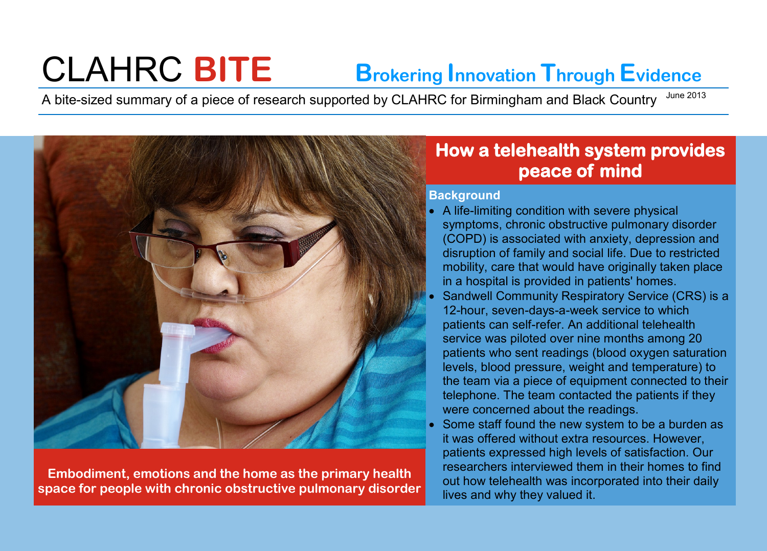# CLAHRC **BITE Brokering Innovation Through Evidence**

A bite-sized summary of a piece of research supported by CLAHRC for Birmingham and Black Country June 2013



**Embodiment, emotions and the home as the primary health space for people with chronic obstructive pulmonary disorder** 

# **How a telehealth system provides peace of mind**

### **Background**

- A life-limiting condition with severe physical symptoms, chronic obstructive pulmonary disorder (COPD) is associated with anxiety, depression and disruption of family and social life. Due to restricted mobility, care that would have originally taken place in a hospital is provided in patients' homes.
- Sandwell Community Respiratory Service (CRS) is a 12-hour, seven-days-a-week service to which patients can self-refer. An additional telehealth service was piloted over nine months among 20 patients who sent readings (blood oxygen saturation levels, blood pressure, weight and temperature) to the team via a piece of equipment connected to their telephone. The team contacted the patients if they were concerned about the readings.
- Some staff found the new system to be a burden as it was offered without extra resources. However, patients expressed high levels of satisfaction. Our researchers interviewed them in their homes to find out how telehealth was incorporated into their daily lives and why they valued it.